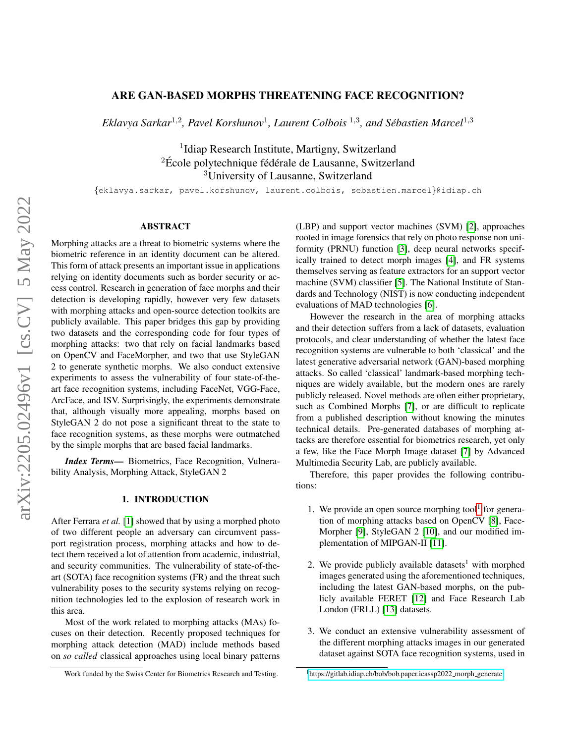# ARE GAN-BASED MORPHS THREATENING FACE RECOGNITION?

Eklavya Sarkar<sup>1,2</sup>, Pavel Korshunov<sup>1</sup>, Laurent Colbois<sup>1,3</sup>, and Sébastien Marcel<sup>1,3</sup>

<sup>1</sup>Idiap Research Institute, Martigny, Switzerland  ${}^{2}$ École polytechnique fédérale de Lausanne, Switzerland <sup>3</sup>University of Lausanne, Switzerland

{eklavya.sarkar, pavel.korshunov, laurent.colbois, sebastien.marcel}@idiap.ch

## ABSTRACT

Morphing attacks are a threat to biometric systems where the biometric reference in an identity document can be altered. This form of attack presents an important issue in applications relying on identity documents such as border security or access control. Research in generation of face morphs and their detection is developing rapidly, however very few datasets with morphing attacks and open-source detection toolkits are publicly available. This paper bridges this gap by providing two datasets and the corresponding code for four types of morphing attacks: two that rely on facial landmarks based on OpenCV and FaceMorpher, and two that use StyleGAN 2 to generate synthetic morphs. We also conduct extensive experiments to assess the vulnerability of four state-of-theart face recognition systems, including FaceNet, VGG-Face, ArcFace, and ISV. Surprisingly, the experiments demonstrate that, although visually more appealing, morphs based on StyleGAN 2 do not pose a significant threat to the state to face recognition systems, as these morphs were outmatched by the simple morphs that are based facial landmarks.

*Index Terms*— Biometrics, Face Recognition, Vulnerability Analysis, Morphing Attack, StyleGAN 2

## 1. INTRODUCTION

After Ferrara *et al.* [\[1\]](#page-4-0) showed that by using a morphed photo of two different people an adversary can circumvent passport registration process, morphing attacks and how to detect them received a lot of attention from academic, industrial, and security communities. The vulnerability of state-of-theart (SOTA) face recognition systems (FR) and the threat such vulnerability poses to the security systems relying on recognition technologies led to the explosion of research work in this area.

Most of the work related to morphing attacks (MAs) focuses on their detection. Recently proposed techniques for morphing attack detection (MAD) include methods based on *so called* classical approaches using local binary patterns

(LBP) and support vector machines (SVM) [\[2\]](#page-4-1), approaches rooted in image forensics that rely on photo response non uniformity (PRNU) function [\[3\]](#page-4-2), deep neural networks specifically trained to detect morph images [\[4\]](#page-4-3), and FR systems themselves serving as feature extractors for an support vector machine (SVM) classifier [\[5\]](#page-4-4). The National Institute of Standards and Technology (NIST) is now conducting independent evaluations of MAD technologies [\[6\]](#page-4-5).

However the research in the area of morphing attacks and their detection suffers from a lack of datasets, evaluation protocols, and clear understanding of whether the latest face recognition systems are vulnerable to both 'classical' and the latest generative adversarial network (GAN)-based morphing attacks. So called 'classical' landmark-based morphing techniques are widely available, but the modern ones are rarely publicly released. Novel methods are often either proprietary, such as Combined Morphs [\[7\]](#page-4-6), or are difficult to replicate from a published description without knowing the minutes technical details. Pre-generated databases of morphing attacks are therefore essential for biometrics research, yet only a few, like the Face Morph Image dataset [\[7\]](#page-4-6) by Advanced Multimedia Security Lab, are publicly available.

Therefore, this paper provides the following contributions:

- [1](#page-0-0). We provide an open source morphing tool<sup>1</sup> for generation of morphing attacks based on OpenCV [\[8\]](#page-4-7), Face-Morpher [\[9\]](#page-4-8), StyleGAN 2 [\[10\]](#page-4-9), and our modified implementation of MIPGAN-II [\[11\]](#page-4-10).
- 2. We provide publicly available datasets<sup>1</sup> with morphed images generated using the aforementioned techniques, including the latest GAN-based morphs, on the publicly available FERET [\[12\]](#page-4-11) and Face Research Lab London (FRLL) [\[13\]](#page-4-12) datasets.
- 3. We conduct an extensive vulnerability assessment of the different morphing attacks images in our generated dataset against SOTA face recognition systems, used in

Work funded by the Swiss Center for Biometrics Research and Testing.

<span id="page-0-0"></span><sup>1</sup>[https://gitlab.idiap.ch/bob/bob.paper.icassp2022](https://gitlab.idiap.ch/bob/bob.paper.icassp2022_morph_generate) morph generate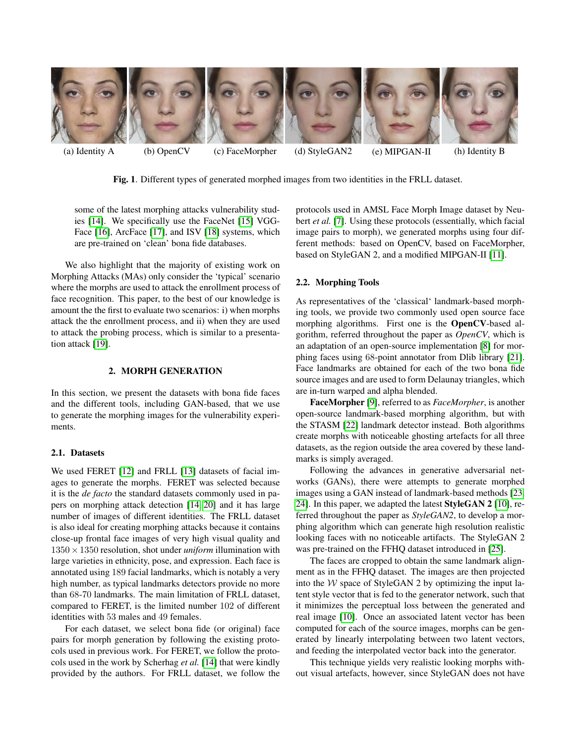

(a) Identity A (b) OpenCV (c) FaceMorpher (d) StyleGAN2 (e) MIPGAN-II (h) Identity B

<span id="page-1-0"></span>Fig. 1. Different types of generated morphed images from two identities in the FRLL dataset.

some of the latest morphing attacks vulnerability studies [\[14\]](#page-4-13). We specifically use the FaceNet [\[15\]](#page-4-14) VGG-Face [\[16\]](#page-4-15), ArcFace [\[17\]](#page-4-16), and ISV [\[18\]](#page-4-17) systems, which are pre-trained on 'clean' bona fide databases.

We also highlight that the majority of existing work on Morphing Attacks (MAs) only consider the 'typical' scenario where the morphs are used to attack the enrollment process of face recognition. This paper, to the best of our knowledge is amount the the first to evaluate two scenarios: i) when morphs attack the the enrollment process, and ii) when they are used to attack the probing process, which is similar to a presentation attack [\[19\]](#page-4-18).

## 2. MORPH GENERATION

In this section, we present the datasets with bona fide faces and the different tools, including GAN-based, that we use to generate the morphing images for the vulnerability experiments.

## 2.1. Datasets

We used FERET [\[12\]](#page-4-11) and FRLL [\[13\]](#page-4-12) datasets of facial images to generate the morphs. FERET was selected because it is the *de facto* the standard datasets commonly used in papers on morphing attack detection [\[14,](#page-4-13) [20\]](#page-4-19) and it has large number of images of different identities. The FRLL dataset is also ideal for creating morphing attacks because it contains close-up frontal face images of very high visual quality and  $1350 \times 1350$  resolution, shot under *uniform* illumination with large varieties in ethnicity, pose, and expression. Each face is annotated using 189 facial landmarks, which is notably a very high number, as typical landmarks detectors provide no more than 68-70 landmarks. The main limitation of FRLL dataset, compared to FERET, is the limited number 102 of different identities with 53 males and 49 females.

For each dataset, we select bona fide (or original) face pairs for morph generation by following the existing protocols used in previous work. For FERET, we follow the protocols used in the work by Scherhag *et al.* [\[14\]](#page-4-13) that were kindly provided by the authors. For FRLL dataset, we follow the protocols used in AMSL Face Morph Image dataset by Neubert *et al.* [\[7\]](#page-4-6). Using these protocols (essentially, which facial image pairs to morph), we generated morphs using four different methods: based on OpenCV, based on FaceMorpher, based on StyleGAN 2, and a modified MIPGAN-II [\[11\]](#page-4-10).

## 2.2. Morphing Tools

As representatives of the 'classical' landmark-based morphing tools, we provide two commonly used open source face morphing algorithms. First one is the OpenCV-based algorithm, referred throughout the paper as *OpenCV*, which is an adaptation of an open-source implementation [\[8\]](#page-4-7) for morphing faces using 68-point annotator from Dlib library [\[21\]](#page-4-20). Face landmarks are obtained for each of the two bona fide source images and are used to form Delaunay triangles, which are in-turn warped and alpha blended.

FaceMorpher [\[9\]](#page-4-8), referred to as *FaceMorpher*, is another open-source landmark-based morphing algorithm, but with the STASM [\[22\]](#page-4-21) landmark detector instead. Both algorithms create morphs with noticeable ghosting artefacts for all three datasets, as the region outside the area covered by these landmarks is simply averaged.

Following the advances in generative adversarial networks (GANs), there were attempts to generate morphed images using a GAN instead of landmark-based methods [\[23,](#page-4-22) [24\]](#page-4-23). In this paper, we adapted the latest StyleGAN 2 [\[10\]](#page-4-9), referred throughout the paper as *StyleGAN2*, to develop a morphing algorithm which can generate high resolution realistic looking faces with no noticeable artifacts. The StyleGAN 2 was pre-trained on the FFHQ dataset introduced in [\[25\]](#page-4-24).

The faces are cropped to obtain the same landmark alignment as in the FFHQ dataset. The images are then projected into the  $W$  space of StyleGAN 2 by optimizing the input latent style vector that is fed to the generator network, such that it minimizes the perceptual loss between the generated and real image [\[10\]](#page-4-9). Once an associated latent vector has been computed for each of the source images, morphs can be generated by linearly interpolating between two latent vectors, and feeding the interpolated vector back into the generator.

This technique yields very realistic looking morphs without visual artefacts, however, since StyleGAN does not have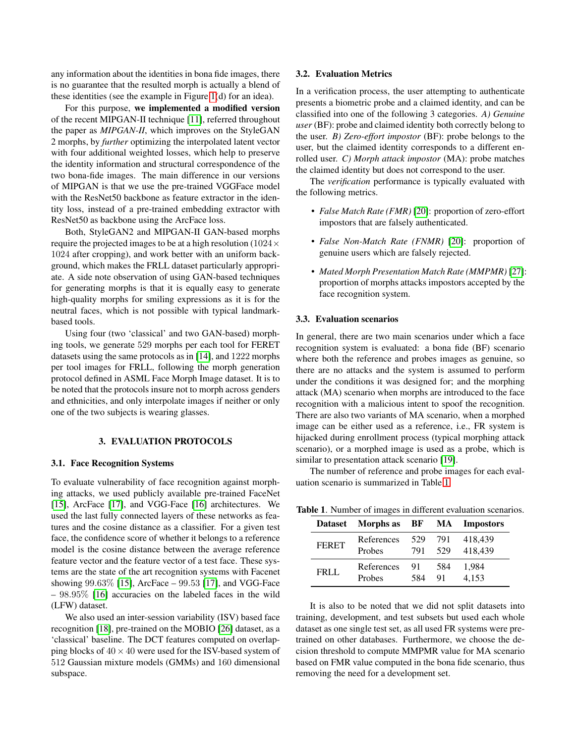any information about the identities in bona fide images, there is no guarantee that the resulted morph is actually a blend of these identities (see the example in Figure [1\(](#page-1-0)d) for an idea).

For this purpose, we implemented a modified version of the recent MIPGAN-II technique [\[11\]](#page-4-10), referred throughout the paper as *MIPGAN-II*, which improves on the StyleGAN 2 morphs, by *further* optimizing the interpolated latent vector with four additional weighted losses, which help to preserve the identity information and structural correspondence of the two bona-fide images. The main difference in our versions of MIPGAN is that we use the pre-trained VGGFace model with the ResNet50 backbone as feature extractor in the identity loss, instead of a pre-trained embedding extractor with ResNet50 as backbone using the ArcFace loss.

Both, StyleGAN2 and MIPGAN-II GAN-based morphs require the projected images to be at a high resolution ( $1024 \times$ 1024 after cropping), and work better with an uniform background, which makes the FRLL dataset particularly appropriate. A side note observation of using GAN-based techniques for generating morphs is that it is equally easy to generate high-quality morphs for smiling expressions as it is for the neutral faces, which is not possible with typical landmarkbased tools.

Using four (two 'classical' and two GAN-based) morphing tools, we generate 529 morphs per each tool for FERET datasets using the same protocols as in [\[14\]](#page-4-13), and 1222 morphs per tool images for FRLL, following the morph generation protocol defined in ASML Face Morph Image dataset. It is to be noted that the protocols insure not to morph across genders and ethnicities, and only interpolate images if neither or only one of the two subjects is wearing glasses.

#### 3. EVALUATION PROTOCOLS

## <span id="page-2-1"></span>3.1. Face Recognition Systems

To evaluate vulnerability of face recognition against morphing attacks, we used publicly available pre-trained FaceNet [\[15\]](#page-4-14), ArcFace [\[17\]](#page-4-16), and VGG-Face [\[16\]](#page-4-15) architectures. We used the last fully connected layers of these networks as features and the cosine distance as a classifier. For a given test face, the confidence score of whether it belongs to a reference model is the cosine distance between the average reference feature vector and the feature vector of a test face. These systems are the state of the art recognition systems with Facenet showing 99.63% [\[15\]](#page-4-14), ArcFace – 99.53 [\[17\]](#page-4-16), and VGG-Face – 98.95% [\[16\]](#page-4-15) accuracies on the labeled faces in the wild (LFW) dataset.

We also used an inter-session variability (ISV) based face recognition [\[18\]](#page-4-17), pre-trained on the MOBIO [\[26\]](#page-4-25) dataset, as a 'classical' baseline. The DCT features computed on overlapping blocks of  $40 \times 40$  were used for the ISV-based system of 512 Gaussian mixture models (GMMs) and 160 dimensional subspace.

#### 3.2. Evaluation Metrics

In a verification process, the user attempting to authenticate presents a biometric probe and a claimed identity, and can be classified into one of the following 3 categories. *A) Genuine user* (BF): probe and claimed identity both correctly belong to the user. *B) Zero-effort impostor* (BF): probe belongs to the user, but the claimed identity corresponds to a different enrolled user. *C) Morph attack impostor* (MA): probe matches the claimed identity but does not correspond to the user.

The *verification* performance is typically evaluated with the following metrics.

- *False Match Rate (FMR)* [\[20\]](#page-4-19): proportion of zero-effort impostors that are falsely authenticated.
- *False Non-Match Rate (FNMR)* [\[20\]](#page-4-19): proportion of genuine users which are falsely rejected.
- *Mated Morph Presentation Match Rate (MMPMR)* [\[27\]](#page-4-26): proportion of morphs attacks impostors accepted by the face recognition system.

#### <span id="page-2-2"></span>3.3. Evaluation scenarios

In general, there are two main scenarios under which a face recognition system is evaluated: a bona fide (BF) scenario where both the reference and probes images as genuine, so there are no attacks and the system is assumed to perform under the conditions it was designed for; and the morphing attack (MA) scenario when morphs are introduced to the face recognition with a malicious intent to spoof the recognition. There are also two variants of MA scenario, when a morphed image can be either used as a reference, i.e., FR system is hijacked during enrollment process (typical morphing attack scenario), or a morphed image is used as a probe, which is similar to presentation attack scenario [\[19\]](#page-4-18).

The number of reference and probe images for each evaluation scenario is summarized in Table [1.](#page-2-0)

<span id="page-2-0"></span>

| <b>Dataset</b> | Morphs as  | BF  | MA  | <b>Impostors</b> |
|----------------|------------|-----|-----|------------------|
| <b>FERET</b>   | References | 529 | 791 | 418.439          |
|                | Probes     | 791 | 529 | 418,439          |
| FRI L          | References | 91  | 584 | 1.984            |
|                | Probes     | 584 | 91  | 4.153            |

Table 1. Number of images in different evaluation scenarios.

It is also to be noted that we did not split datasets into training, development, and test subsets but used each whole dataset as one single test set, as all used FR systems were pretrained on other databases. Furthermore, we choose the decision threshold to compute MMPMR value for MA scenario based on FMR value computed in the bona fide scenario, thus removing the need for a development set.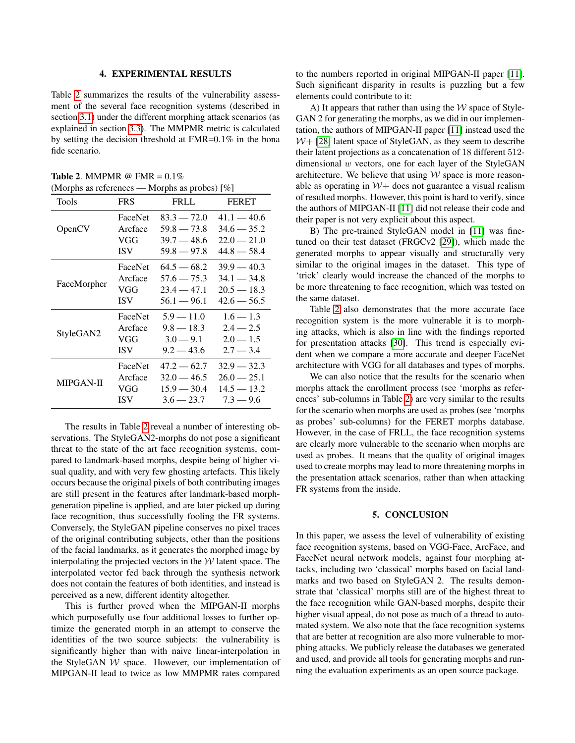### 4. EXPERIMENTAL RESULTS

Table [2](#page-3-0) summarizes the results of the vulnerability assessment of the several face recognition systems (described in section [3.1\)](#page-2-1) under the different morphing attack scenarios (as explained in section [3.3\)](#page-2-2). The MMPMR metric is calculated by setting the decision threshold at FMR=0.1% in the bona fide scenario.

<span id="page-3-0"></span>Table 2. MMPMR @ FMR =  $0.1\%$ (Morphs as references — Morphs as probes) [%]

| Tools       | <b>FRS</b> | <b>FRLL</b>   | <b>FERET</b>  |
|-------------|------------|---------------|---------------|
| OpenCV      | FaceNet    | $83.3 - 72.0$ | $41.1 - 40.6$ |
|             | Arcface    | $59.8 - 73.8$ | $34.6 - 35.2$ |
|             | VGG        | $39.7 - 48.6$ | $22.0 - 21.0$ |
|             | <b>ISV</b> | $59.8 - 97.8$ | $44.8 - 58.4$ |
| FaceMorpher | FaceNet    | $64.5 - 68.2$ | $39.9 - 40.3$ |
|             | Arcface    | $57.6 - 75.3$ | $34.1 - 34.8$ |
|             | VGG        | $23.4 - 47.1$ | $20.5 - 18.3$ |
|             | <b>ISV</b> | $56.1 - 96.1$ | $42.6 - 56.5$ |
| StyleGAN2   | FaceNet    | $5.9 - 11.0$  | $1.6 - 1.3$   |
|             | Arcface    | $9.8 - 18.3$  | $2.4 - 2.5$   |
|             | VGG        | $3.0 - 9.1$   | $2.0 - 1.5$   |
|             | <b>ISV</b> | $9.2 - 43.6$  | $2.7 - 3.4$   |
| MIPGAN-II   | FaceNet    | $47.2 - 62.7$ | $32.9 - 32.3$ |
|             | Arcface    | $32.0 - 46.5$ | $26.0 - 25.1$ |
|             | VGG        | $15.9 - 30.4$ | $14.5 - 13.2$ |
|             | <b>ISV</b> | $3.6 - 23.7$  | $7.3 - 9.6$   |

The results in Table [2](#page-3-0) reveal a number of interesting observations. The StyleGAN2-morphs do not pose a significant threat to the state of the art face recognition systems, compared to landmark-based morphs, despite being of higher visual quality, and with very few ghosting artefacts. This likely occurs because the original pixels of both contributing images are still present in the features after landmark-based morphgeneration pipeline is applied, and are later picked up during face recognition, thus successfully fooling the FR systems. Conversely, the StyleGAN pipeline conserves no pixel traces of the original contributing subjects, other than the positions of the facial landmarks, as it generates the morphed image by interpolating the projected vectors in the  $W$  latent space. The interpolated vector fed back through the synthesis network does not contain the features of both identities, and instead is perceived as a new, different identity altogether.

This is further proved when the MIPGAN-II morphs which purposefully use four additional losses to further optimize the generated morph in an attempt to conserve the identities of the two source subjects: the vulnerability is significantly higher than with naive linear-interpolation in the StyleGAN  $W$  space. However, our implementation of MIPGAN-II lead to twice as low MMPMR rates compared to the numbers reported in original MIPGAN-II paper [\[11\]](#page-4-10). Such significant disparity in results is puzzling but a few elements could contribute to it:

A) It appears that rather than using the  $W$  space of Style-GAN 2 for generating the morphs, as we did in our implementation, the authors of MIPGAN-II paper [\[11\]](#page-4-10) instead used the  $W + [28]$  $W + [28]$  latent space of StyleGAN, as they seem to describe their latent projections as a concatenation of 18 different 512 dimensional  $w$  vectors, one for each layer of the StyleGAN architecture. We believe that using  $W$  space is more reasonable as operating in  $W+$  does not guarantee a visual realism of resulted morphs. However, this point is hard to verify, since the authors of MIPGAN-II [\[11\]](#page-4-10) did not release their code and their paper is not very explicit about this aspect.

B) The pre-trained StyleGAN model in [\[11\]](#page-4-10) was finetuned on their test dataset (FRGCv2 [\[29\]](#page-4-28)), which made the generated morphs to appear visually and structurally very similar to the original images in the dataset. This type of 'trick' clearly would increase the chanced of the morphs to be more threatening to face recognition, which was tested on the same dataset.

Table [2](#page-3-0) also demonstrates that the more accurate face recognition system is the more vulnerable it is to morphing attacks, which is also in line with the findings reported for presentation attacks [\[30\]](#page-4-29). This trend is especially evident when we compare a more accurate and deeper FaceNet architecture with VGG for all databases and types of morphs.

We can also notice that the results for the scenario when morphs attack the enrollment process (see 'morphs as references' sub-columns in Table [2\)](#page-3-0) are very similar to the results for the scenario when morphs are used as probes (see 'morphs as probes' sub-columns) for the FERET morphs database. However, in the case of FRLL, the face recognition systems are clearly more vulnerable to the scenario when morphs are used as probes. It means that the quality of original images used to create morphs may lead to more threatening morphs in the presentation attack scenarios, rather than when attacking FR systems from the inside.

### 5. CONCLUSION

In this paper, we assess the level of vulnerability of existing face recognition systems, based on VGG-Face, ArcFace, and FaceNet neural network models, against four morphing attacks, including two 'classical' morphs based on facial landmarks and two based on StyleGAN 2. The results demonstrate that 'classical' morphs still are of the highest threat to the face recognition while GAN-based morphs, despite their higher visual appeal, do not pose as much of a thread to automated system. We also note that the face recognition systems that are better at recognition are also more vulnerable to morphing attacks. We publicly release the databases we generated and used, and provide all tools for generating morphs and running the evaluation experiments as an open source package.